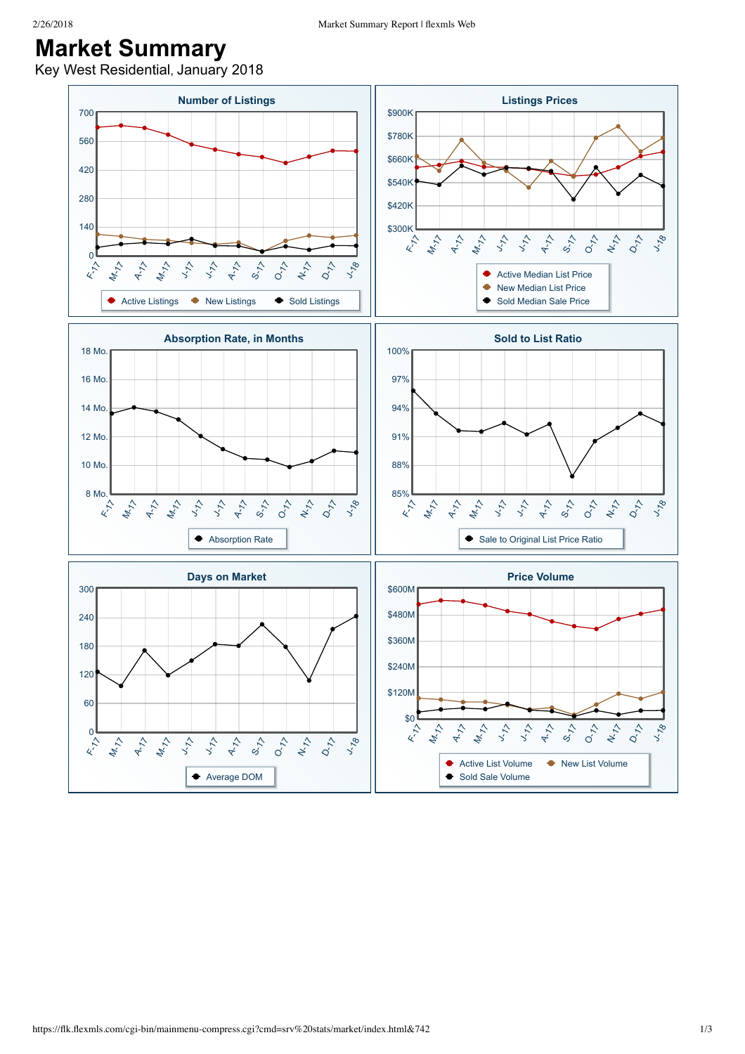## **Market Summary**

Key West Residential, January 2018

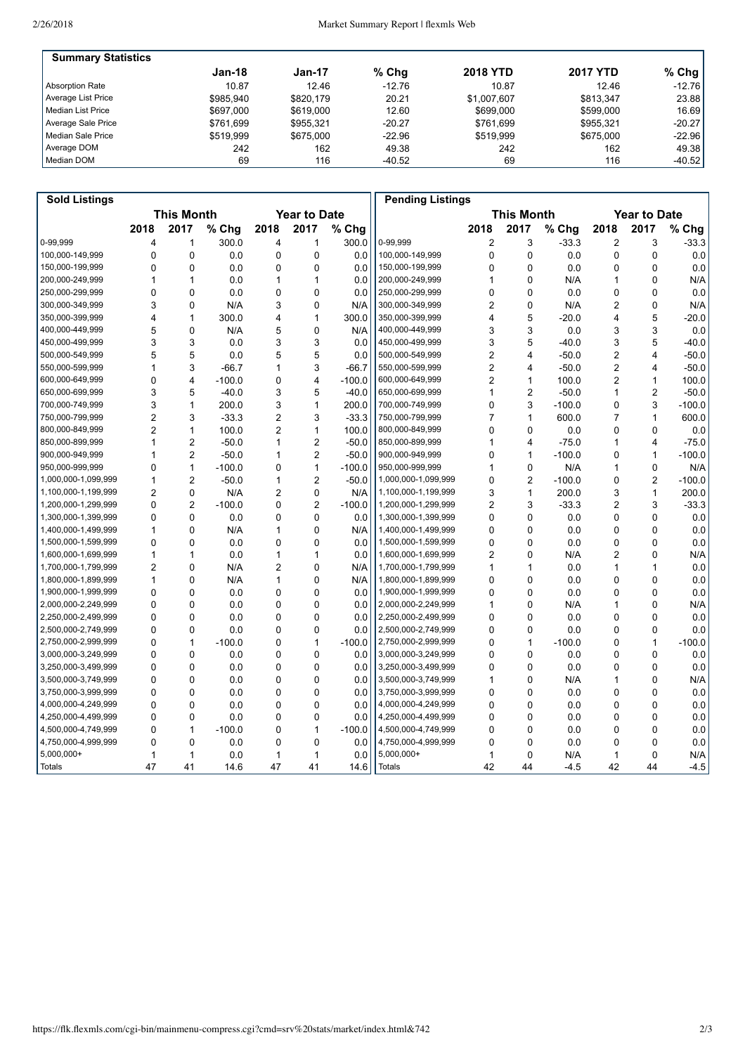| <b>Summary Statistics</b> |           |           |          |                 |                 |          |
|---------------------------|-----------|-----------|----------|-----------------|-----------------|----------|
|                           | Jan-18    | Jan-17    | $%$ Chg  | <b>2018 YTD</b> | <b>2017 YTD</b> | $%$ Chg  |
| Absorption Rate           | 10.87     | 12.46     | $-12.76$ | 10.87           | 12.46           | $-12.76$ |
| Average List Price        | \$985.940 | \$820.179 | 20.21    | \$1.007.607     | \$813.347       | 23.88    |
| l Median List Price       | \$697,000 | \$619,000 | 12.60    | \$699,000       | \$599.000       | 16.69    |
| Average Sale Price        | \$761.699 | \$955.321 | $-20.27$ | \$761.699       | \$955.321       | $-20.27$ |
| l Median Sale Price       | \$519.999 | \$675,000 | $-22.96$ | \$519.999       | \$675,000       | $-22.96$ |
| Average DOM               | 242       | 162       | 49.38    | 242             | 162             | 49.38    |
| Median DOM                | 69        | 116       | $-40.52$ | 69              | 116             | $-40.52$ |

| <b>Sold Listings</b> |                   |                |          |                     |                |          | <b>Pending Listings</b> |                   |                |          |                     |                |          |
|----------------------|-------------------|----------------|----------|---------------------|----------------|----------|-------------------------|-------------------|----------------|----------|---------------------|----------------|----------|
|                      | <b>This Month</b> |                |          | <b>Year to Date</b> |                |          |                         | <b>This Month</b> |                |          | <b>Year to Date</b> |                |          |
|                      | 2018              | 2017           | % Chg    | 2018                | 2017           | % Chg    |                         | 2018              | 2017           | % Chg    | 2018                | 2017           | % Chg    |
| 0-99.999             | 4                 | 1              | 300.0    | 4                   | 1              | 300.0    | 0-99.999                | 2                 | 3              | $-33.3$  | 2                   | 3              | $-33.3$  |
| 100,000-149,999      | $\mathbf 0$       | $\mathbf 0$    | 0.0      | 0                   | $\mathbf 0$    | 0.0      | 100,000-149,999         | 0                 | $\mathbf 0$    | 0.0      | $\mathbf 0$         | $\mathbf 0$    | 0.0      |
| 150,000-199,999      | $\mathbf 0$       | $\Omega$       | 0.0      | 0                   | $\Omega$       | 0.0      | 150,000-199,999         | 0                 | 0              | 0.0      | 0                   | $\Omega$       | 0.0      |
| 200,000-249,999      | 1                 | 1              | 0.0      | 1                   | 1              | 0.0      | 200,000-249,999         | 1                 | 0              | N/A      | 1                   | $\Omega$       | N/A      |
| 250,000-299,999      | $\mathbf 0$       | $\mathbf 0$    | 0.0      | 0                   | 0              | 0.0      | 250,000-299,999         | 0                 | 0              | 0.0      | 0                   | $\mathbf 0$    | 0.0      |
| 300,000-349,999      | 3                 | $\Omega$       | N/A      | 3                   | $\Omega$       | N/A      | 300,000-349,999         | $\overline{c}$    | 0              | N/A      | $\overline{c}$      | $\Omega$       | N/A      |
| 350.000-399.999      | $\overline{4}$    | 1              | 300.0    | 4                   | $\mathbf 1$    | 300.0    | 350,000-399,999         | 4                 | 5              | $-20.0$  | 4                   | 5              | $-20.0$  |
| 400,000-449,999      | 5                 | $\mathbf 0$    | N/A      | 5                   | 0              | N/A      | 400,000-449,999         | 3                 | 3              | 0.0      | 3                   | 3              | 0.0      |
| 450,000-499,999      | 3                 | 3              | 0.0      | 3                   | 3              | 0.0      | 450,000-499,999         | 3                 | 5              | $-40.0$  | 3                   | 5              | $-40.0$  |
| 500.000-549.999      | 5                 | 5              | 0.0      | 5                   | 5              | 0.0      | 500.000-549.999         | $\overline{2}$    | 4              | $-50.0$  | $\overline{2}$      | 4              | $-50.0$  |
| 550,000-599,999      | 1                 | 3              | $-66.7$  | 1                   | 3              | $-66.7$  | 550,000-599,999         | $\overline{c}$    | 4              | $-50.0$  | 2                   | $\overline{4}$ | $-50.0$  |
| 600,000-649,999      | $\mathbf{0}$      | 4              | $-100.0$ | $\mathbf{0}$        | 4              | $-100.0$ | 600,000-649,999         | $\overline{c}$    | 1              | 100.0    | $\overline{2}$      | $\mathbf{1}$   | 100.0    |
| 650,000-699,999      | 3                 | 5              | $-40.0$  | 3                   | 5              | $-40.0$  | 650,000-699,999         | 1                 | 2              | $-50.0$  | 1                   | $\overline{c}$ | $-50.0$  |
| 700,000-749,999      | 3                 | $\mathbf{1}$   | 200.0    | 3                   | 1              | 200.0    | 700,000-749,999         | 0                 | 3              | $-100.0$ | 0                   | 3              | $-100.0$ |
| 750,000-799,999      | $\overline{2}$    | 3              | $-33.3$  | $\overline{2}$      | 3              | $-33.3$  | 750,000-799,999         | $\overline{7}$    | 1              | 600.0    | $\overline{7}$      | $\mathbf{1}$   | 600.0    |
| 800,000-849,999      | $\overline{2}$    | $\mathbf{1}$   | 100.0    | $\overline{2}$      | 1              | 100.0    | 800,000-849,999         | 0                 | 0              | 0.0      | $\mathbf 0$         | $\mathbf 0$    | 0.0      |
| 850,000-899,999      | $\mathbf{1}$      | $\overline{2}$ | $-50.0$  | 1                   | $\overline{2}$ | $-50.0$  | 850,000-899,999         | 1                 | 4              | $-75.0$  | $\mathbf{1}$        | $\overline{4}$ | $-75.0$  |
| 900,000-949,999      | 1                 | $\overline{2}$ | $-50.0$  | 1                   | $\overline{2}$ | $-50.0$  | 900,000-949,999         | 0                 | 1              | $-100.0$ | 0                   | $\mathbf{1}$   | $-100.0$ |
| 950,000-999,999      | $\mathbf 0$       | $\mathbf{1}$   | $-100.0$ | 0                   | $\mathbf{1}$   | $-100.0$ | 950,000-999,999         | 1                 | 0              | N/A      | 1                   | $\mathbf 0$    | N/A      |
| 1,000,000-1,099,999  | $\mathbf{1}$      | $\overline{2}$ | $-50.0$  | 1                   | $\overline{2}$ | $-50.0$  | 1,000,000-1,099,999     | 0                 | $\overline{2}$ | $-100.0$ | 0                   | $\overline{2}$ | $-100.0$ |
| 1,100,000-1,199,999  | $\overline{2}$    | $\mathbf 0$    | N/A      | $\overline{2}$      | $\mathbf 0$    | N/A      | 1,100,000-1,199,999     | 3                 | $\mathbf{1}$   | 200.0    | 3                   | $\mathbf{1}$   | 200.0    |
| 1,200,000-1,299,999  | $\mathbf 0$       | $\overline{2}$ | $-100.0$ | 0                   | $\overline{2}$ | $-100.0$ | 1,200,000-1,299,999     | $\overline{c}$    | 3              | $-33.3$  | 2                   | 3              | $-33.3$  |
| 1,300,000-1,399,999  | $\Omega$          | $\mathbf 0$    | 0.0      | 0                   | $\mathbf 0$    | 0.0      | 1,300,000-1,399,999     | 0                 | 0              | 0.0      | $\mathbf 0$         | $\Omega$       | 0.0      |
| 1,400,000-1,499,999  | $\mathbf{1}$      | $\Omega$       | N/A      | 1                   | $\Omega$       | N/A      | 1,400,000-1,499,999     | 0                 | 0              | 0.0      | 0                   | $\Omega$       | 0.0      |
| 1,500,000-1,599,999  | $\mathbf{0}$      | $\Omega$       | 0.0      | 0                   | $\Omega$       | 0.0      | 1,500,000-1,599,999     | 0                 | 0              | 0.0      | 0                   | $\Omega$       | 0.0      |
| 1,600,000-1,699,999  | 1                 | 1              | 0.0      | 1                   | $\mathbf{1}$   | 0.0      | 1,600,000-1,699,999     | $\overline{2}$    | 0              | N/A      | 2                   | $\mathbf{0}$   | N/A      |
| 1,700,000-1,799,999  | $\overline{2}$    | $\Omega$       | N/A      | $\overline{2}$      | 0              | N/A      | 1,700,000-1,799,999     | 1                 | 1              | 0.0      | 1                   | 1              | 0.0      |
| 1,800,000-1,899,999  | $\mathbf{1}$      | $\mathbf 0$    | N/A      | 1                   | $\mathbf 0$    | N/A      | 1,800,000-1,899,999     | 0                 | 0              | 0.0      | $\mathbf 0$         | $\mathbf 0$    | 0.0      |
| 1,900,000-1,999,999  | $\mathbf{0}$      | $\Omega$       | 0.0      | 0                   | $\mathbf{0}$   | 0.0      | 1,900,000-1,999,999     | 0                 | 0              | 0.0      | $\mathbf 0$         | $\Omega$       | 0.0      |
| 2,000,000-2,249,999  | $\Omega$          | $\Omega$       | 0.0      | 0                   | $\Omega$       | 0.0      | 2,000,000-2,249,999     | 1                 | 0              | N/A      | 1                   | $\Omega$       | N/A      |
| 2,250,000-2,499,999  | $\Omega$          | $\mathbf 0$    | 0.0      | 0                   | $\mathbf 0$    | 0.0      | 2,250,000-2,499,999     | 0                 | 0              | 0.0      | 0                   | $\mathbf 0$    | 0.0      |
| 2,500,000-2,749,999  | $\mathbf{0}$      | $\Omega$       | 0.0      | 0                   | $\mathbf{0}$   | 0.0      | 2,500,000-2,749,999     | 0                 | 0              | 0.0      | 0                   | $\Omega$       | 0.0      |
| 2,750,000-2,999,999  | $\Omega$          | 1              | $-100.0$ | $\Omega$            | $\mathbf{1}$   | $-100.0$ | 2,750,000-2,999,999     | 0                 | 1              | $-100.0$ | 0                   | $\mathbf{1}$   | $-100.0$ |
| 3,000,000-3,249,999  | $\mathbf 0$       | $\mathbf 0$    | 0.0      | 0                   | 0              | 0.0      | 3,000,000-3,249,999     | 0                 | $\mathbf 0$    | 0.0      | $\mathbf 0$         | $\mathbf 0$    | 0.0      |
| 3,250,000-3,499,999  | $\Omega$          | $\mathbf 0$    | 0.0      | 0                   | $\mathbf 0$    | 0.0      | 3,250,000-3,499,999     | 0                 | 0              | 0.0      | $\mathbf 0$         | $\Omega$       | 0.0      |
| 3,500,000-3,749,999  | $\Omega$          | $\Omega$       | 0.0      | $\Omega$            | 0              | 0.0      | 3,500,000-3,749,999     | 1                 | 0              | N/A      | 1                   | $\Omega$       | N/A      |
| 3,750,000-3,999,999  | $\Omega$          | $\mathbf 0$    | 0.0      | 0                   | 0              | 0.0      | 3,750,000-3,999,999     | 0                 | 0              | 0.0      | 0                   | $\Omega$       | 0.0      |
| 4,000,000-4,249,999  | $\mathbf{0}$      | $\Omega$       | 0.0      | $\mathbf{0}$        | $\Omega$       | 0.0      | 4,000,000-4,249,999     | 0                 | 0              | 0.0      | 0                   | $\mathbf{0}$   | 0.0      |
| 4,250,000-4,499,999  | $\mathbf 0$       | $\mathbf 0$    | 0.0      | 0                   | 0              | 0.0      | 4,250,000-4,499,999     | 0                 | 0              | 0.0      | 0                   | $\mathbf 0$    | 0.0      |
| 4,500,000-4,749,999  | $\mathbf 0$       | $\mathbf{1}$   | $-100.0$ | 0                   | $\mathbf{1}$   | $-100.0$ | 4,500,000-4,749,999     | 0                 | 0              | 0.0      | $\mathbf 0$         | $\mathbf 0$    | 0.0      |
| 4,750,000-4,999,999  | $\mathbf{0}$      | $\Omega$       | 0.0      | $\mathbf{0}$        | $\mathbf{0}$   | 0.0      | 4,750,000-4,999,999     | 0                 | $\mathbf{0}$   | 0.0      | 0                   | $\Omega$       | 0.0      |
| 5,000,000+           | $\mathbf 1$       | 1              | 0.0      | 1                   | $\mathbf{1}$   | 0.0      | 5,000,000+              | 1                 | $\mathbf 0$    | N/A      | 1                   | $\Omega$       | N/A      |
| <b>Totals</b>        | 47                | 41             | 14.6     | 47                  | 41             | 14.6     | <b>Totals</b>           | 42                | 44             | $-4.5$   | 42                  | 44             | $-4.5$   |